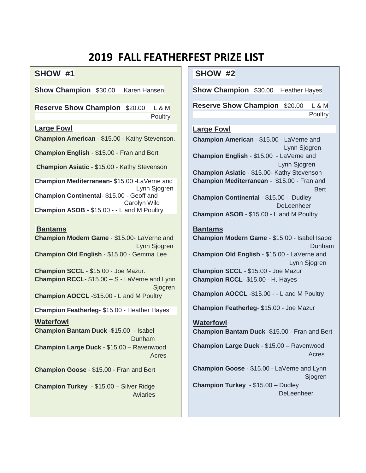# **2019 FALL FEATHERFEST PRIZE LIST**

# **SHOW #1**

**Show Champion** \$30.00 Karen Hansen

**Reserve Show Champion** \$20.00 L & M **Poultry** 

## **Large Fowl**

**Champion American** - \$15.00 - Kathy Stevenson.

**Champion English** - \$15.00 - Fran and Bert

**Champion Asiatic** - \$15.00 - Kathy Stevenson

**Champion Mediterranean-** \$15.00 -LaVerne and Lynn Sjogren **Champion Continental**- \$15.00 - Geoff and Carolyn Wild **Champion ASOB** - \$15.00 - - L and M Poultry

#### **Bantams**

**Champion Modern Game** - \$15.00- LaVerne and Lynn Sjogren **Champion Old English** - \$15.00 - Gemma Lee

**Champion SCCL** - \$15.00 - Joe Mazur. **Champion RCCL**- \$15.00 – S - LaVerne and Lynn **Siogren Champion AOCCL** -\$15.00 - L and M Poultry

**Champion Featherleg**- \$15.00 - Heather Hayes

## **Waterfowl**

**Champion Bantam Duck** -\$15.00 - Isabel Dunham **Champion Large Duck** - \$15.00 – Ravenwood Acres

**Champion Goose** - \$15.00 - Fran and Bert

**Champion Turkey** - \$15.00 – Silver Ridge Aviaries

# **SHOW #2**

**Show Champion** \$30.00 Heather Hayes

**Reserve Show Champion** \$20.00 L & M **Poultry** 

#### **Large Fowl**

**Champion American** - \$15.00 - LaVerne and Lynn Sjogren **Champion English** - \$15.00 - LaVerne and Lynn Sjogren **Champion Asiatic** - \$15.00- Kathy Stevenson **Champion Mediterranean** - \$15.00 - Fran and Bert **Champion Continental** - \$15.00 - Dudley **DeLeenheer Champion ASOB** - \$15.00 - L and M Poultry

#### **Bantams**

**Champion Modern Game** - \$15.00 - Isabel Isabel Dunham **Champion Old English** - \$15.00 - LaVerne and Lynn Sjogren **Champion SCCL** - \$15.00 - Joe Mazur **Champion RCCL**- \$15.00 - H. Hayes

**Champion AOCCL** -\$15.00 - - L and M Poultry

**Champion Featherleg**- \$15.00 - Joe Mazur

## **Waterfowl Champion Bantam Duck** -\$15.00 - Fran and Bert

**Champion Large Duck** - \$15.00 – Ravenwood Acres

**Champion Goose** - \$15.00 - LaVerne and Lynn Sjogren **Champion Turkey** - \$15.00 – Dudley **DeLeenheer**